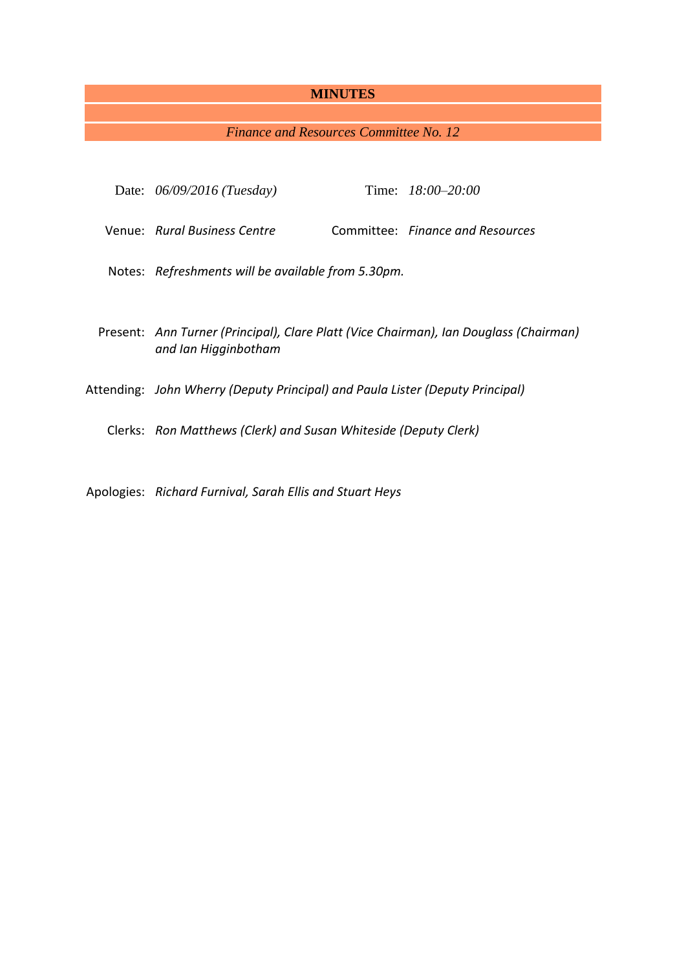# **MINUTES**

*Finance and Resources Committee No. 12*

| Date: $06/09/2016$ (Tuesday)                                                                                  |  | Time: $18:00 - 20:00$            |
|---------------------------------------------------------------------------------------------------------------|--|----------------------------------|
| Venue: Rural Business Centre                                                                                  |  | Committee: Finance and Resources |
| Notes: Refreshments will be available from 5.30pm.                                                            |  |                                  |
| Present: Ann Turner (Principal), Clare Platt (Vice Chairman), Ian Douglass (Chairman)<br>and Ian Higginbotham |  |                                  |
| Attending: John Wherry (Deputy Principal) and Paula Lister (Deputy Principal)                                 |  |                                  |
| Clerks: Ron Matthews (Clerk) and Susan Whiteside (Deputy Clerk)                                               |  |                                  |
|                                                                                                               |  |                                  |

Apologies: *Richard Furnival, Sarah Ellis and Stuart Heys*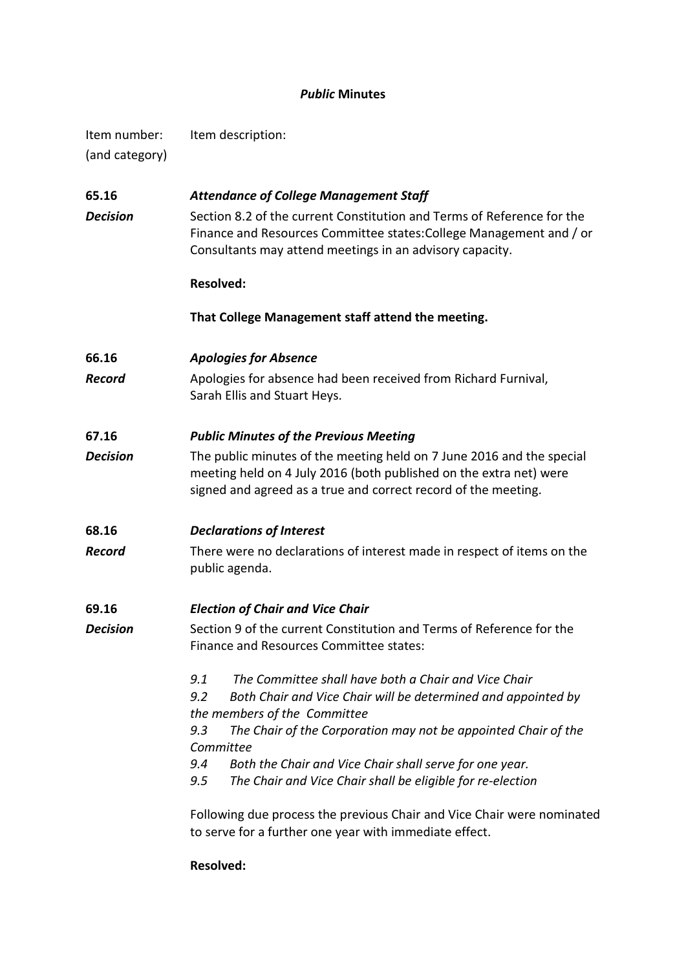# *Public* **Minutes**

| Item number:<br>(and category) | Item description:                                                                                                                                                                                                                                          |  |  |  |
|--------------------------------|------------------------------------------------------------------------------------------------------------------------------------------------------------------------------------------------------------------------------------------------------------|--|--|--|
| 65.16<br><b>Decision</b>       | <b>Attendance of College Management Staff</b><br>Section 8.2 of the current Constitution and Terms of Reference for the<br>Finance and Resources Committee states: College Management and / or<br>Consultants may attend meetings in an advisory capacity. |  |  |  |
|                                | <b>Resolved:</b>                                                                                                                                                                                                                                           |  |  |  |
|                                | That College Management staff attend the meeting.                                                                                                                                                                                                          |  |  |  |
| 66.16<br>Record                | <b>Apologies for Absence</b><br>Apologies for absence had been received from Richard Furnival,<br>Sarah Ellis and Stuart Heys.                                                                                                                             |  |  |  |
| 67.16                          | <b>Public Minutes of the Previous Meeting</b>                                                                                                                                                                                                              |  |  |  |
| <b>Decision</b>                | The public minutes of the meeting held on 7 June 2016 and the special<br>meeting held on 4 July 2016 (both published on the extra net) were<br>signed and agreed as a true and correct record of the meeting.                                              |  |  |  |
| 68.16                          | <b>Declarations of Interest</b>                                                                                                                                                                                                                            |  |  |  |
| Record                         | There were no declarations of interest made in respect of items on the<br>public agenda.                                                                                                                                                                   |  |  |  |
| 69.16                          | <b>Election of Chair and Vice Chair</b>                                                                                                                                                                                                                    |  |  |  |
| <b>Decision</b>                | Section 9 of the current Constitution and Terms of Reference for the<br>Finance and Resources Committee states:                                                                                                                                            |  |  |  |
|                                | The Committee shall have both a Chair and Vice Chair<br>9.1<br>9.2<br>Both Chair and Vice Chair will be determined and appointed by<br>the members of the Committee                                                                                        |  |  |  |
|                                | 9.3<br>The Chair of the Corporation may not be appointed Chair of the<br>Committee                                                                                                                                                                         |  |  |  |
|                                | 9.4<br>Both the Chair and Vice Chair shall serve for one year.<br>The Chair and Vice Chair shall be eligible for re-election<br>9.5                                                                                                                        |  |  |  |
|                                | Following due process the previous Chair and Vice Chair were nominated<br>to serve for a further one year with immediate effect.                                                                                                                           |  |  |  |

**Resolved:**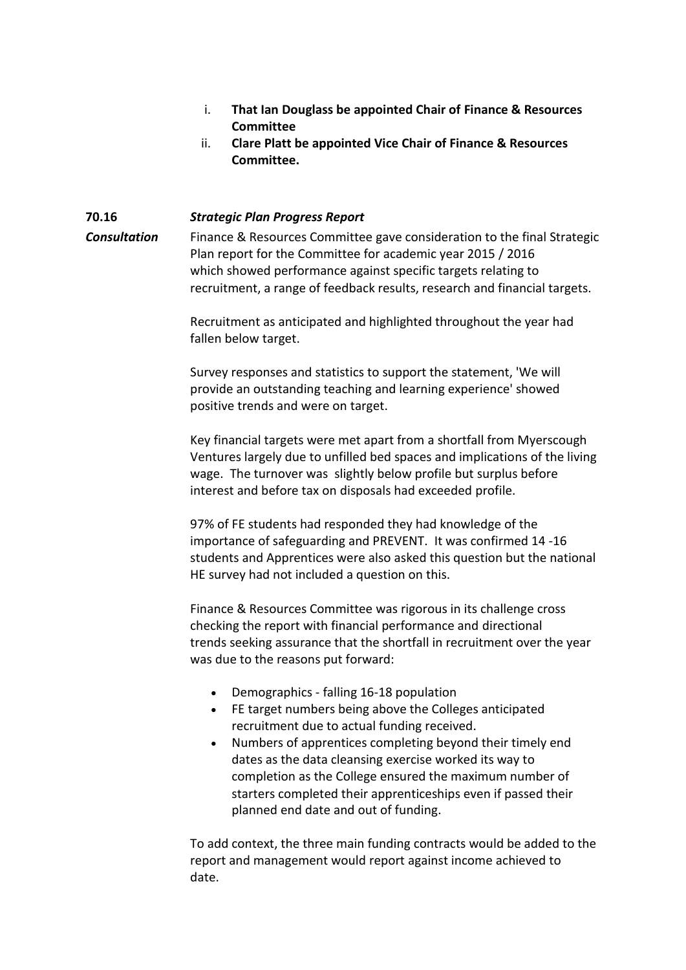- i. **That Ian Douglass be appointed Chair of Finance & Resources Committee**
- ii. **Clare Platt be appointed Vice Chair of Finance & Resources Committee.**

#### **70.16** *Strategic Plan Progress Report*

*Consultation* Finance & Resources Committee gave consideration to the final Strategic Plan report for the Committee for academic year 2015 / 2016 which showed performance against specific targets relating to recruitment, a range of feedback results, research and financial targets.

> Recruitment as anticipated and highlighted throughout the year had fallen below target.

Survey responses and statistics to support the statement, 'We will provide an outstanding teaching and learning experience' showed positive trends and were on target.

Key financial targets were met apart from a shortfall from Myerscough Ventures largely due to unfilled bed spaces and implications of the living wage. The turnover was slightly below profile but surplus before interest and before tax on disposals had exceeded profile.

97% of FE students had responded they had knowledge of the importance of safeguarding and PREVENT. It was confirmed 14 -16 students and Apprentices were also asked this question but the national HE survey had not included a question on this.

Finance & Resources Committee was rigorous in its challenge cross checking the report with financial performance and directional trends seeking assurance that the shortfall in recruitment over the year was due to the reasons put forward:

- Demographics falling 16-18 population
- FE target numbers being above the Colleges anticipated recruitment due to actual funding received.
- Numbers of apprentices completing beyond their timely end dates as the data cleansing exercise worked its way to completion as the College ensured the maximum number of starters completed their apprenticeships even if passed their planned end date and out of funding.

To add context, the three main funding contracts would be added to the report and management would report against income achieved to date.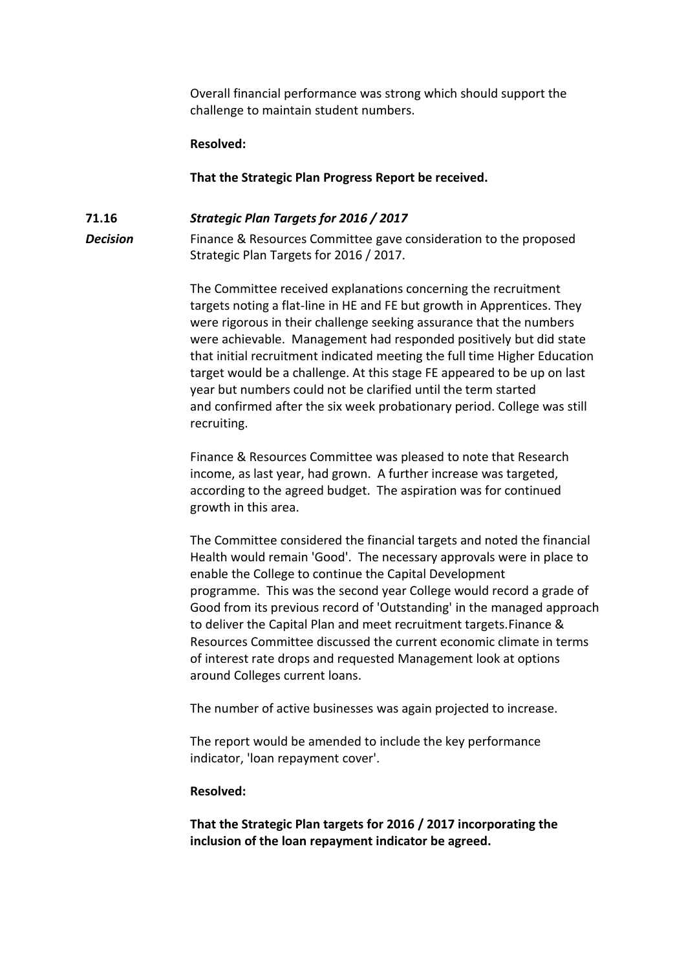Overall financial performance was strong which should support the challenge to maintain student numbers.

#### **Resolved:**

**That the Strategic Plan Progress Report be received.**

# **71.16** *Strategic Plan Targets for 2016 / 2017*

**Decision** Finance & Resources Committee gave consideration to the proposed Strategic Plan Targets for 2016 / 2017.

> The Committee received explanations concerning the recruitment targets noting a flat-line in HE and FE but growth in Apprentices. They were rigorous in their challenge seeking assurance that the numbers were achievable. Management had responded positively but did state that initial recruitment indicated meeting the full time Higher Education target would be a challenge. At this stage FE appeared to be up on last year but numbers could not be clarified until the term started and confirmed after the six week probationary period. College was still recruiting.

Finance & Resources Committee was pleased to note that Research income, as last year, had grown. A further increase was targeted, according to the agreed budget. The aspiration was for continued growth in this area.

The Committee considered the financial targets and noted the financial Health would remain 'Good'. The necessary approvals were in place to enable the College to continue the Capital Development programme. This was the second year College would record a grade of Good from its previous record of 'Outstanding' in the managed approach to deliver the Capital Plan and meet recruitment targets.Finance & Resources Committee discussed the current economic climate in terms of interest rate drops and requested Management look at options around Colleges current loans.

The number of active businesses was again projected to increase.

The report would be amended to include the key performance indicator, 'loan repayment cover'.

#### **Resolved:**

**That the Strategic Plan targets for 2016 / 2017 incorporating the inclusion of the loan repayment indicator be agreed.**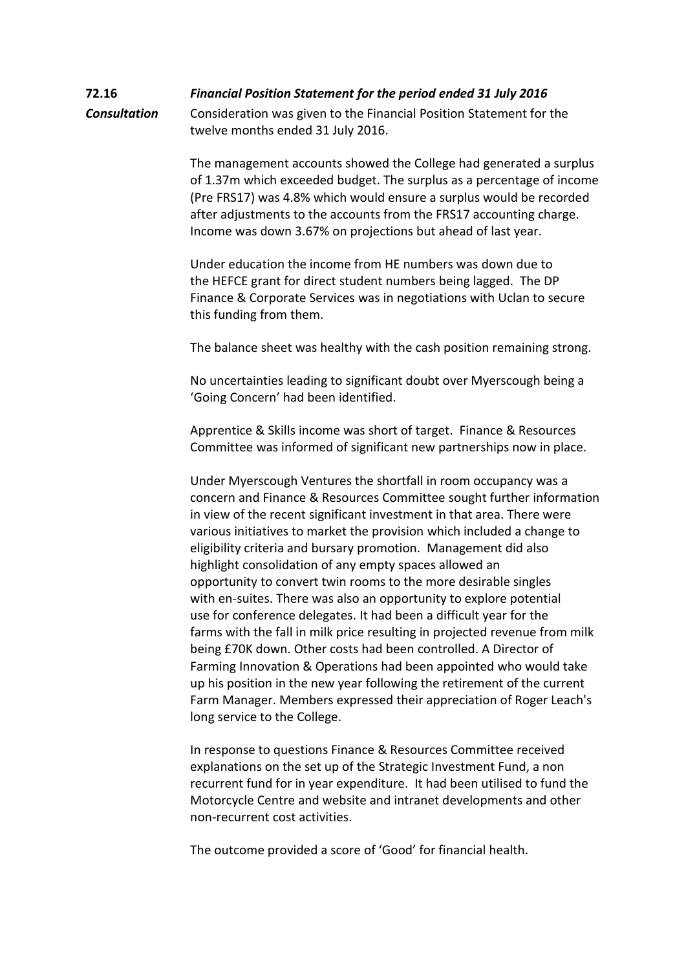# **72.16** *Financial Position Statement for the period ended 31 July 2016 Consultation* Consideration was given to the Financial Position Statement for the twelve months ended 31 July 2016.

The management accounts showed the College had generated a surplus of 1.37m which exceeded budget. The surplus as a percentage of income (Pre FRS17) was 4.8% which would ensure a surplus would be recorded after adjustments to the accounts from the FRS17 accounting charge. Income was down 3.67% on projections but ahead of last year.

Under education the income from HE numbers was down due to the HEFCE grant for direct student numbers being lagged. The DP Finance & Corporate Services was in negotiations with Uclan to secure this funding from them.

The balance sheet was healthy with the cash position remaining strong.

No uncertainties leading to significant doubt over Myerscough being a 'Going Concern' had been identified.

Apprentice & Skills income was short of target. Finance & Resources Committee was informed of significant new partnerships now in place.

Under Myerscough Ventures the shortfall in room occupancy was a concern and Finance & Resources Committee sought further information in view of the recent significant investment in that area. There were various initiatives to market the provision which included a change to eligibility criteria and bursary promotion. Management did also highlight consolidation of any empty spaces allowed an opportunity to convert twin rooms to the more desirable singles with en-suites. There was also an opportunity to explore potential use for conference delegates. It had been a difficult year for the farms with the fall in milk price resulting in projected revenue from milk being £70K down. Other costs had been controlled. A Director of Farming Innovation & Operations had been appointed who would take up his position in the new year following the retirement of the current Farm Manager. Members expressed their appreciation of Roger Leach's long service to the College.

In response to questions Finance & Resources Committee received explanations on the set up of the Strategic Investment Fund, a non recurrent fund for in year expenditure. It had been utilised to fund the Motorcycle Centre and website and intranet developments and other non-recurrent cost activities.

The outcome provided a score of 'Good' for financial health.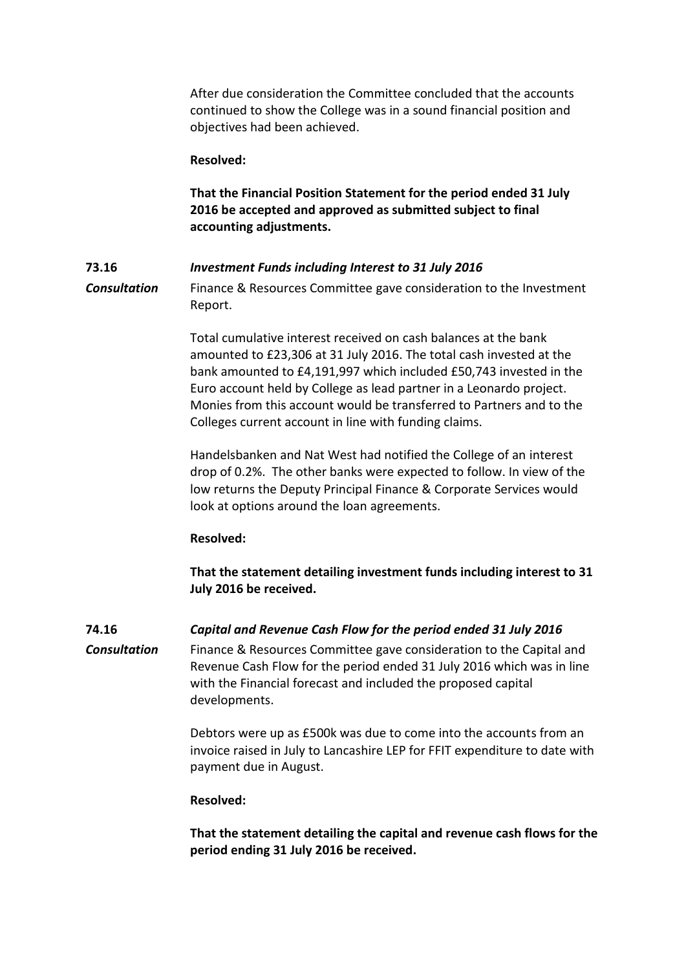After due consideration the Committee concluded that the accounts continued to show the College was in a sound financial position and objectives had been achieved.

#### **Resolved:**

**That the Financial Position Statement for the period ended 31 July 2016 be accepted and approved as submitted subject to final accounting adjustments.**

## **73.16** *Investment Funds including Interest to 31 July 2016*

*Consultation* Finance & Resources Committee gave consideration to the Investment Report.

> Total cumulative interest received on cash balances at the bank amounted to £23,306 at 31 July 2016. The total cash invested at the bank amounted to £4,191,997 which included £50,743 invested in the Euro account held by College as lead partner in a Leonardo project. Monies from this account would be transferred to Partners and to the Colleges current account in line with funding claims.

> Handelsbanken and Nat West had notified the College of an interest drop of 0.2%. The other banks were expected to follow. In view of the low returns the Deputy Principal Finance & Corporate Services would look at options around the loan agreements.

## **Resolved:**

**That the statement detailing investment funds including interest to 31 July 2016 be received.**

**74.16** *Capital and Revenue Cash Flow for the period ended 31 July 2016 Consultation* Finance & Resources Committee gave consideration to the Capital and Revenue Cash Flow for the period ended 31 July 2016 which was in line with the Financial forecast and included the proposed capital developments.

> Debtors were up as £500k was due to come into the accounts from an invoice raised in July to Lancashire LEP for FFIT expenditure to date with payment due in August.

## **Resolved:**

**That the statement detailing the capital and revenue cash flows for the period ending 31 July 2016 be received.**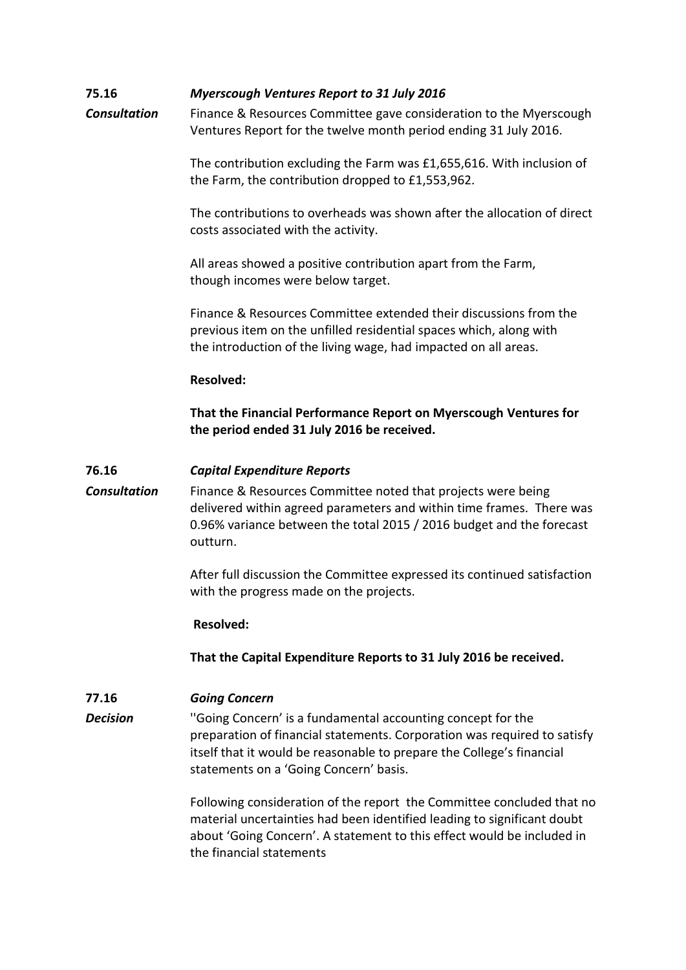# **75.16** *Myerscough Ventures Report to 31 July 2016*

*Consultation* Finance & Resources Committee gave consideration to the Myerscough Ventures Report for the twelve month period ending 31 July 2016.

> The contribution excluding the Farm was £1,655,616. With inclusion of the Farm, the contribution dropped to £1,553,962.

The contributions to overheads was shown after the allocation of direct costs associated with the activity.

All areas showed a positive contribution apart from the Farm, though incomes were below target.

Finance & Resources Committee extended their discussions from the previous item on the unfilled residential spaces which, along with the introduction of the living wage, had impacted on all areas.

#### **Resolved:**

**That the Financial Performance Report on Myerscough Ventures for the period ended 31 July 2016 be received.**

## **76.16** *Capital Expenditure Reports*

*Consultation* Finance & Resources Committee noted that projects were being delivered within agreed parameters and within time frames. There was 0.96% variance between the total 2015 / 2016 budget and the forecast outturn.

> After full discussion the Committee expressed its continued satisfaction with the progress made on the projects.

#### **Resolved:**

**That the Capital Expenditure Reports to 31 July 2016 be received.**

## **77.16** *Going Concern*

**Decision** "Going Concern' is a fundamental accounting concept for the preparation of financial statements. Corporation was required to satisfy itself that it would be reasonable to prepare the College's financial statements on a 'Going Concern' basis.

> Following consideration of the report the Committee concluded that no material uncertainties had been identified leading to significant doubt about 'Going Concern'. A statement to this effect would be included in the financial statements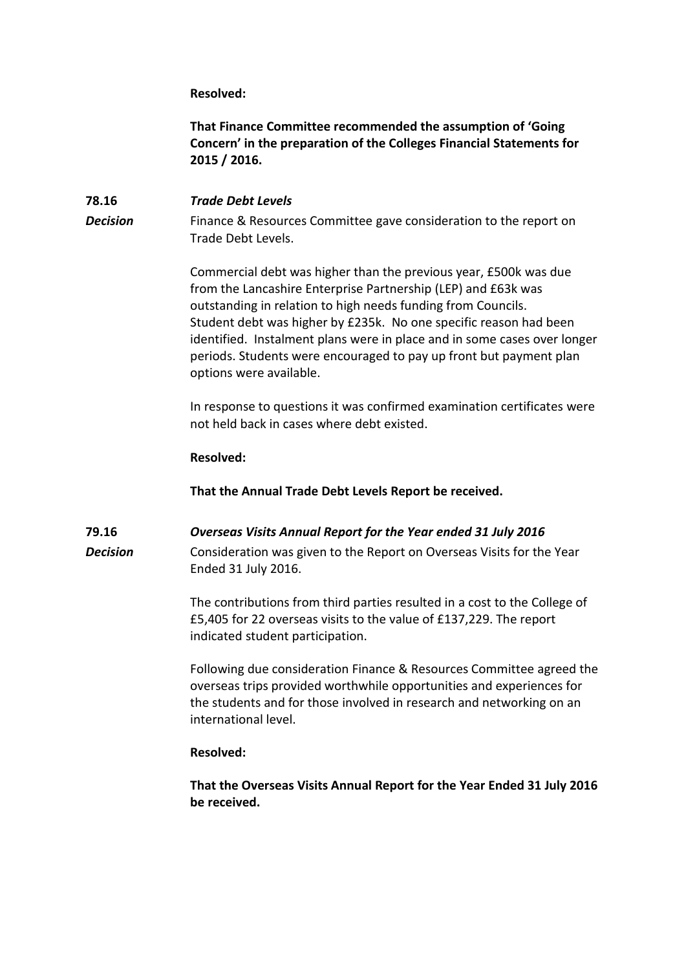**Resolved:**

**That Finance Committee recommended the assumption of 'Going Concern' in the preparation of the Colleges Financial Statements for 2015 / 2016.**

# **78.16** *Trade Debt Levels* **Decision** Finance & Resources Committee gave consideration to the report on Trade Debt Levels.

Commercial debt was higher than the previous year, £500k was due from the Lancashire Enterprise Partnership (LEP) and £63k was outstanding in relation to high needs funding from Councils. Student debt was higher by £235k. No one specific reason had been identified. Instalment plans were in place and in some cases over longer periods. Students were encouraged to pay up front but payment plan options were available.

In response to questions it was confirmed examination certificates were not held back in cases where debt existed.

## **Resolved:**

**That the Annual Trade Debt Levels Report be received.**

## **79.16** *Overseas Visits Annual Report for the Year ended 31 July 2016*

**Decision** Consideration was given to the Report on Overseas Visits for the Year Ended 31 July 2016.

> The contributions from third parties resulted in a cost to the College of £5,405 for 22 overseas visits to the value of £137,229. The report indicated student participation.

Following due consideration Finance & Resources Committee agreed the overseas trips provided worthwhile opportunities and experiences for the students and for those involved in research and networking on an international level.

## **Resolved:**

**That the Overseas Visits Annual Report for the Year Ended 31 July 2016 be received.**